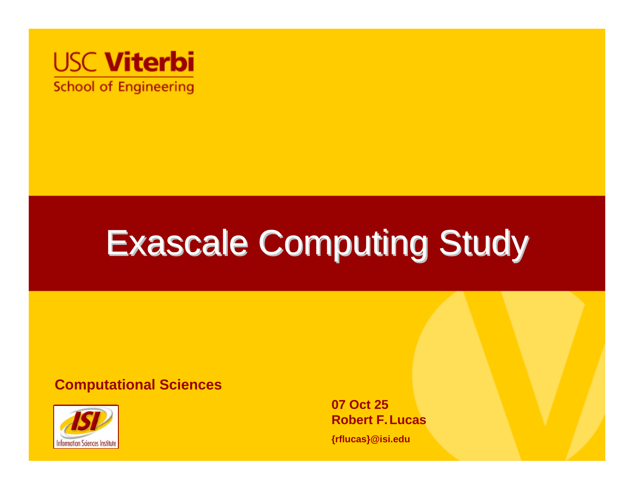

# Exascale Computing Study Exascale Computing Study

#### **Computational Sciences**



**07 Oct 25Robert F.Lucas**

**{rflucas}@isi.edu**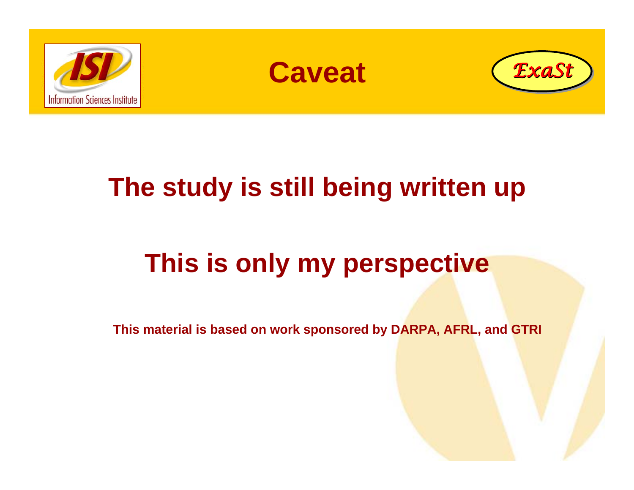





#### **The study is still being written up**

### **This is only my perspective**

**This material is based on work sponsored by DARPA, AFRL, and GTRI**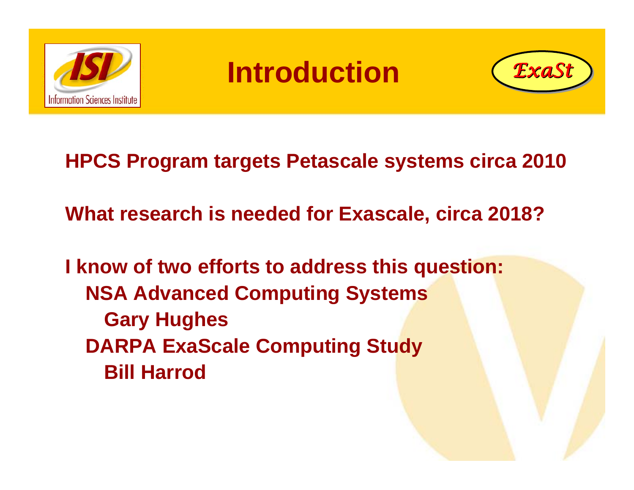

#### **Introduction**



**HPCS Program targets Petascale systems circa 2010 What research is needed for Exascale, circa 2018? I know of two efforts to address this question: NSA Advanced Computing Systems**

**Gary Hughes DARPA ExaScale Computing Study Bill Harrod**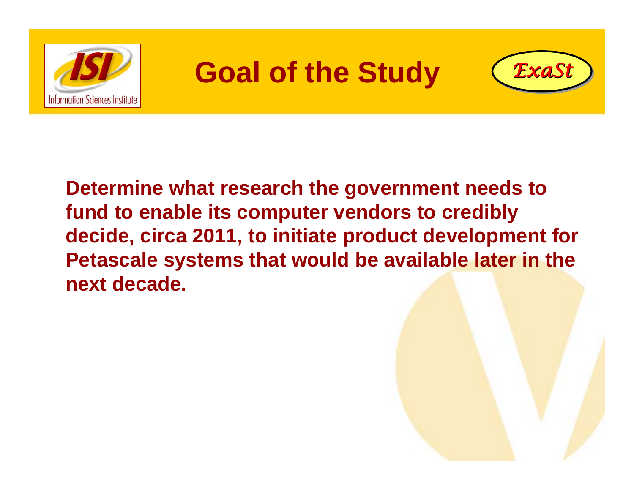

#### **Goal of the Study** *ExaSt ExaSt*



**Determine what research the government needs to fund to enable its computer vendors to credibly decide, circa 2011, to initiate product development for Petascale systems that would be available later in the next decade.**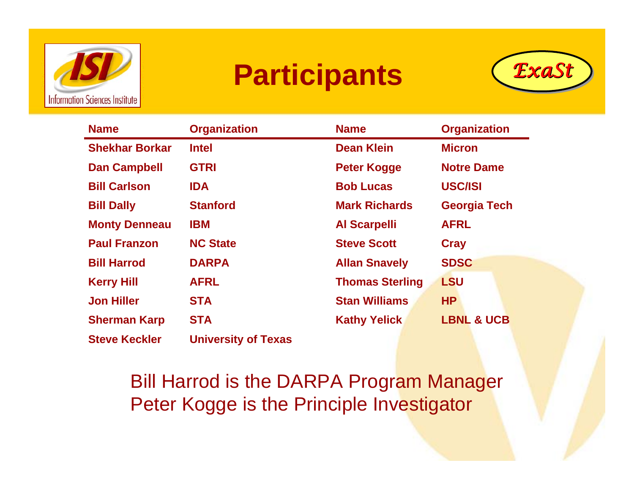

### **Participants** *ExaSt ExaSt*



| <b>Name</b>           | <b>Organization</b>        | <b>Name</b>            | <b>Organization</b>   |
|-----------------------|----------------------------|------------------------|-----------------------|
| <b>Shekhar Borkar</b> | <b>Intel</b>               | <b>Dean Klein</b>      | <b>Micron</b>         |
| <b>Dan Campbell</b>   | <b>GTRI</b>                | <b>Peter Kogge</b>     | <b>Notre Dame</b>     |
| <b>Bill Carlson</b>   | <b>IDA</b>                 | <b>Bob Lucas</b>       | <b>USC/ISI</b>        |
| <b>Bill Dally</b>     | <b>Stanford</b>            | <b>Mark Richards</b>   | <b>Georgia Tech</b>   |
| <b>Monty Denneau</b>  | <b>IBM</b>                 | <b>Al Scarpelli</b>    | <b>AFRL</b>           |
| <b>Paul Franzon</b>   | <b>NC State</b>            | <b>Steve Scott</b>     | <b>Cray</b>           |
| <b>Bill Harrod</b>    | <b>DARPA</b>               | <b>Allan Snavely</b>   | <b>SDSC</b>           |
| <b>Kerry Hill</b>     | <b>AFRL</b>                | <b>Thomas Sterling</b> | <b>LSU</b>            |
| <b>Jon Hiller</b>     | <b>STA</b>                 | <b>Stan Williams</b>   | <b>HP</b>             |
| <b>Sherman Karp</b>   | <b>STA</b>                 | <b>Kathy Yelick</b>    | <b>LBNL &amp; UCB</b> |
| <b>Steve Keckler</b>  | <b>University of Texas</b> |                        |                       |

Bill Harrod is the DARPA Program Manager Peter Kogge is the Principle Investigator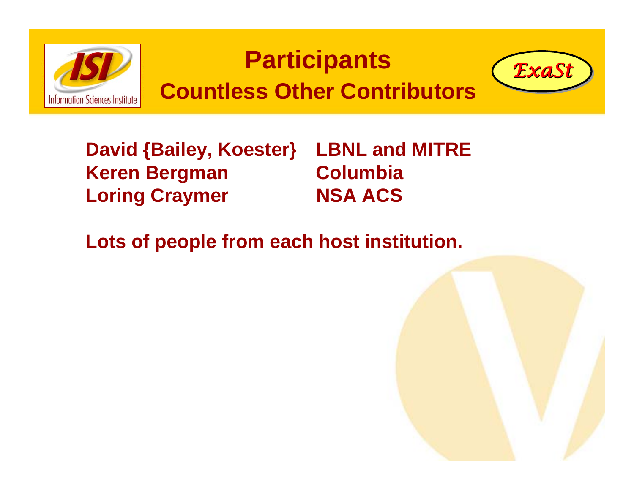

**David {Bailey, Koester} LBNL and MITRE Keren Bergman Columbia Loring Craymer NSA ACS**

**Lots of people from each host institution.**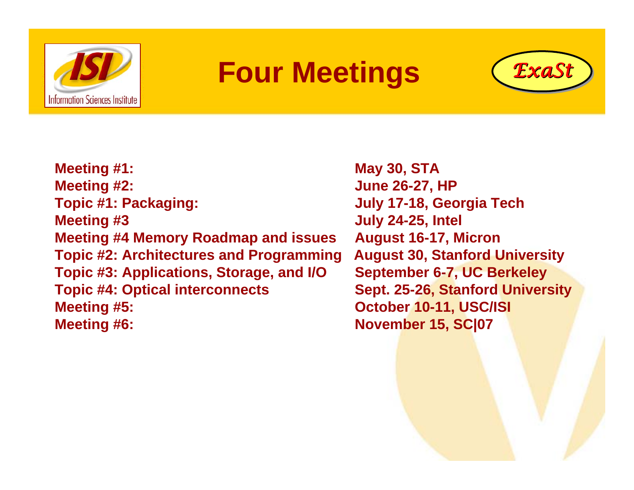

#### **Four Meetings** *ExaSt ExaSt*



**Meeting #1: May 30, STA Meeting #2: June 26-27, HP Topic #1: Packaging: July 17-18, Georgia Tech Meeting #3 July 24-25, Intel Meeting #4 Memory Roadmap and issues August 16-17, Micron Topic #2: Architectures and Programming August 30, Stanford University Topic #3: Applications, Storage, and I/O September 6-7, UC Berkeley Topic #4: Optical interconnects Sept. 25-26, Stanford University Meeting #5: October 10-11, USC/ISI Meeting #6: November 15, SC|07**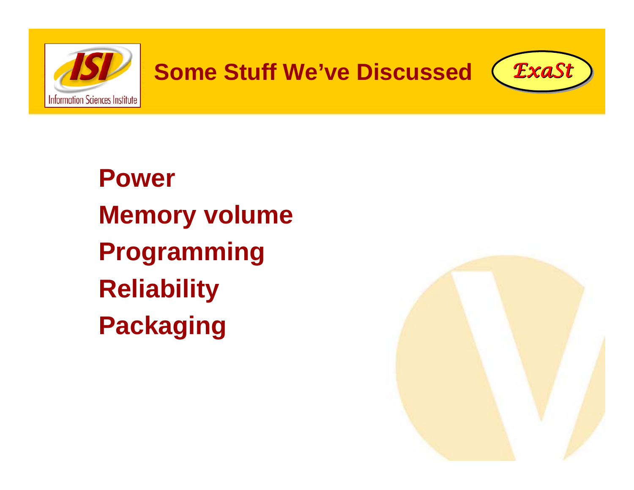

**Power Memory volume Programming Reliability Packaging**

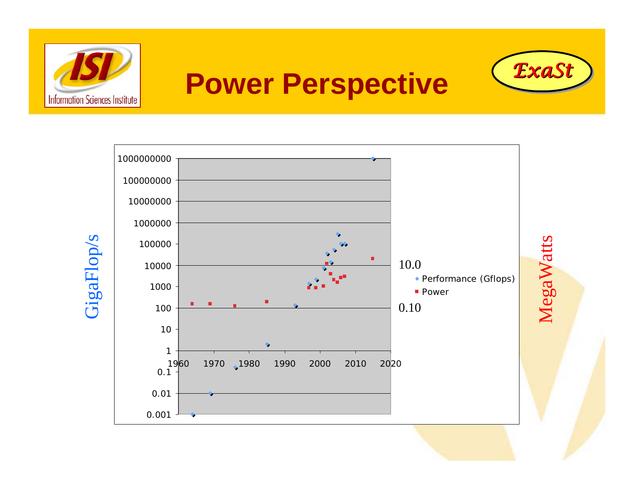

### **Power Perspective**

*ExaSt ExaSt*

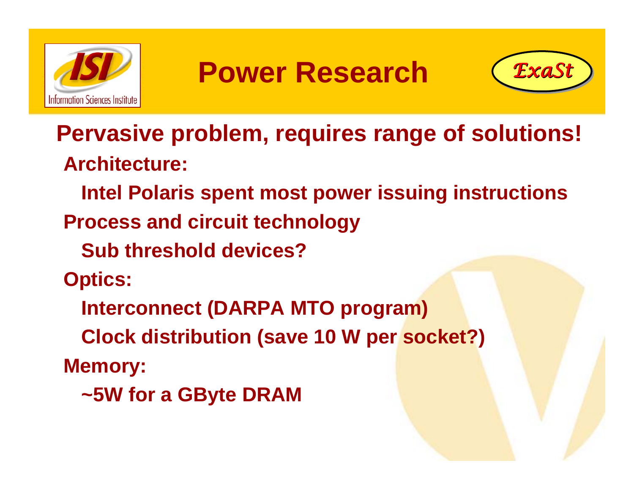

### **Power Research**



**Pervasive problem, requires range of solutions! Architecture:** 

**Intel Polaris spent most power issuing instructions**

**Process and circuit technology**

**Sub threshold devices?**

**Optics:**

**Interconnect (DARPA MTO program)**

**Clock distribution (save 10 W per socket?)**

**Memory:**

**~5W for a GByte DRAM**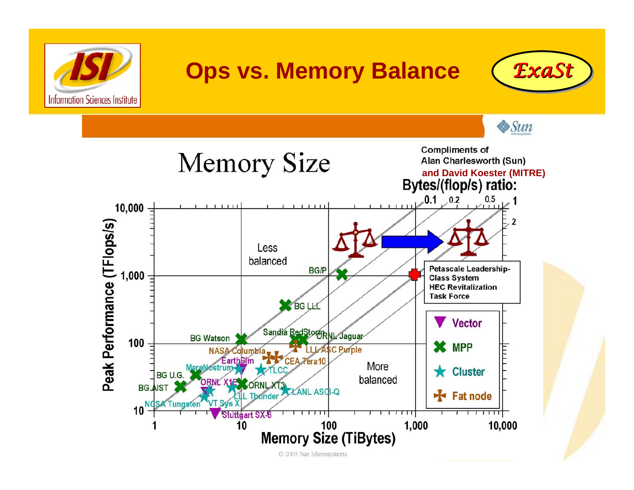

#### **Ops vs. Memory Balance** *ExaSt ExaSt*



 $\frac{1}{2}$ Sun



© 2005 Sun Microsystems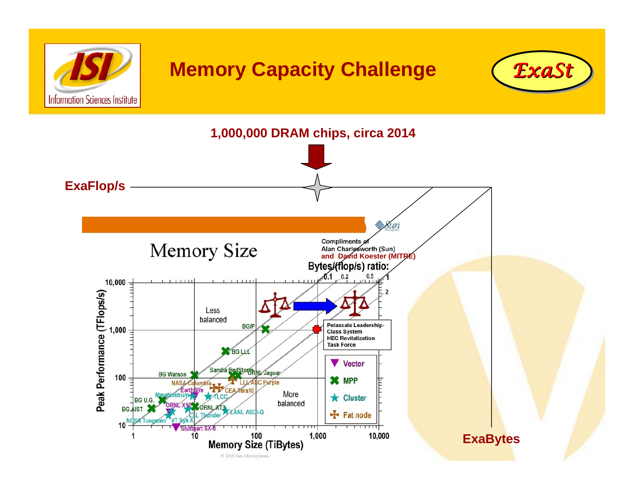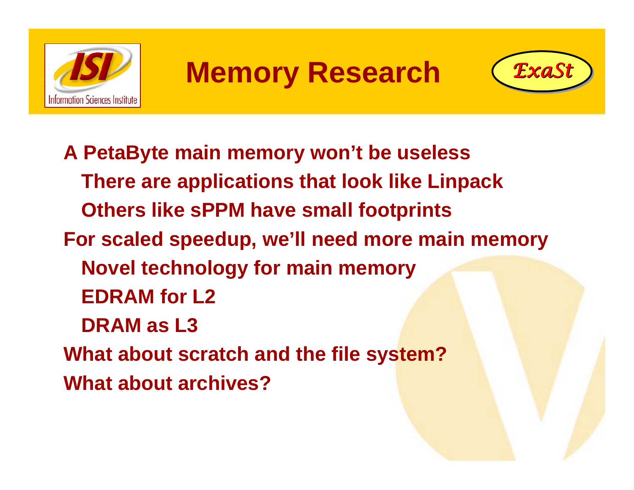

### **Memory Research** *ExaSt ExaSt*



**A PetaByte main memory won't be useless There are applications that look like Linpack Others like sPPM have small footprints For scaled speedup, we'll need more main memory Novel technology for main memory EDRAM for L2DRAM as L3What about scratch and the file system? What about archives?**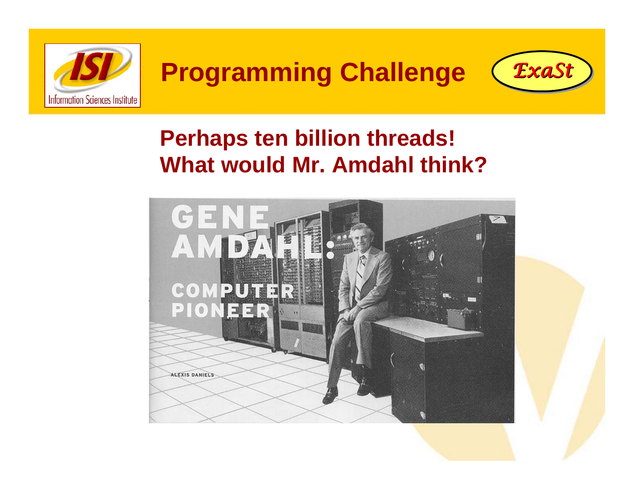

#### **Programming Challenge** *ExaSt ExaSt*



#### **Perhaps ten billion threads! What would Mr. Amdahl think?**



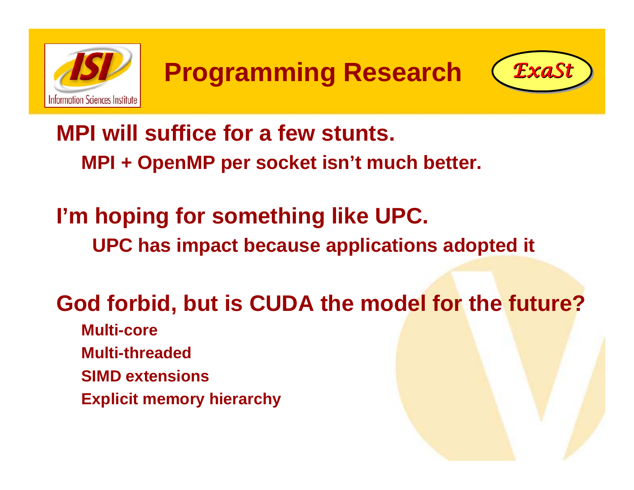



**MPI will suffice for a few stunts. MPI + OpenMP per socket isn't much better.**

**I'm hoping for something like UPC. UPC has impact because applications adopted it**

**God forbid, but is CUDA the model for the future?**

- **Multi-core**
- **Multi-threaded**
- **SIMD extensions**
- **Explicit memory hierarchy**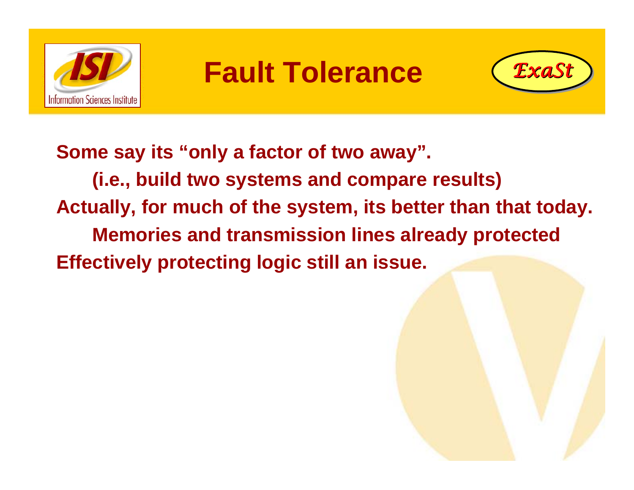

#### **Fault Tolerance**



**Some say its "only a factor of two away". (i.e., build two systems and compare results) Actually, for much of the system, its better than that today. Memories and transmission lines already protected Effectively protecting logic still an issue.**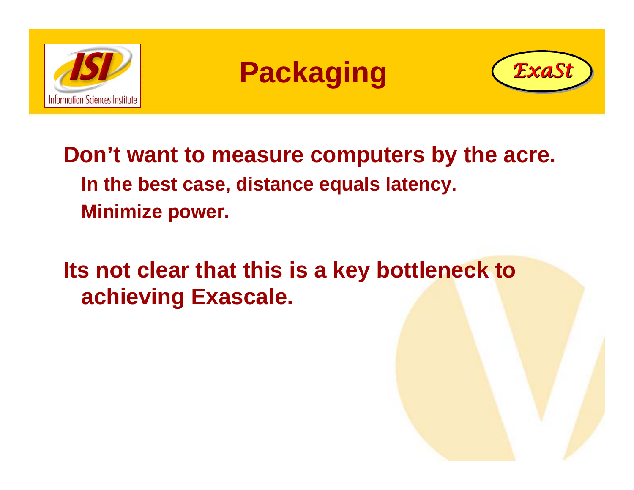

### **Packaging** *ExaSt ExaSt*



**Don't want to measure computers by the acre. In the best case, distance equals latency. Minimize power.**

**Its not clear that this is a key bottleneck to achieving Exascale.**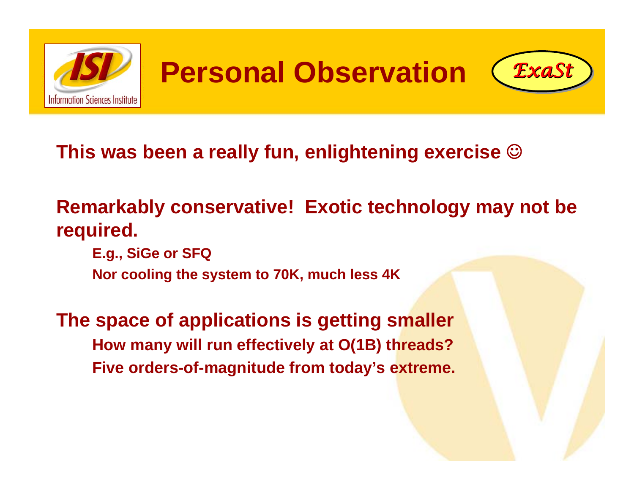

**Personal Observation** *ExaSt ExaSt*



#### **This was been a really fun, enlightening exercise**  ☺

#### **Remarkably conservative! Exotic technology may not be required.**

**E.g., SiGe or SFQ Nor cooling the system to 70K, much less 4K**

**The space of applications is getting smaller How many will run effectively at O(1B) threads? Five orders-of-magnitude from today's extreme.**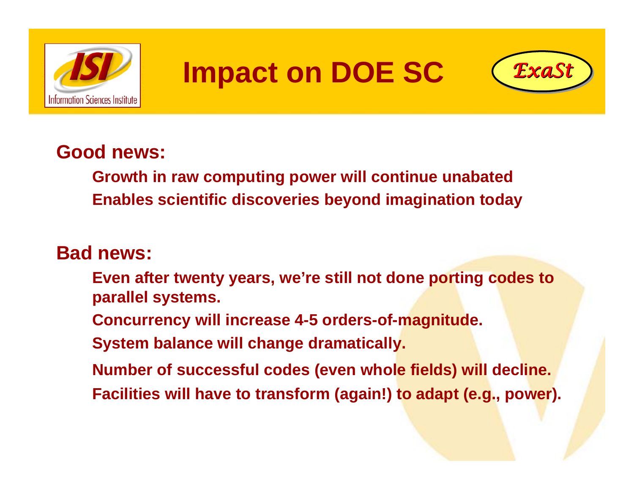

### **Impact on DOE SC** *ExaSt ExaSt*



#### **Good news:**

**Growth in raw computing power will continue unabated Enables scientific discoveries beyond imagination today**

#### **Bad news:**

- **Even after twenty years, we're still not done porting codes to parallel systems.**
- **Concurrency will increase 4-5 orders-of-magnitude.**
- **System balance will change dramatically.**
- **Number of successful codes (even whole fields) will decline.**
- **Facilities will have to transform (again!) to adapt (e.g., power).**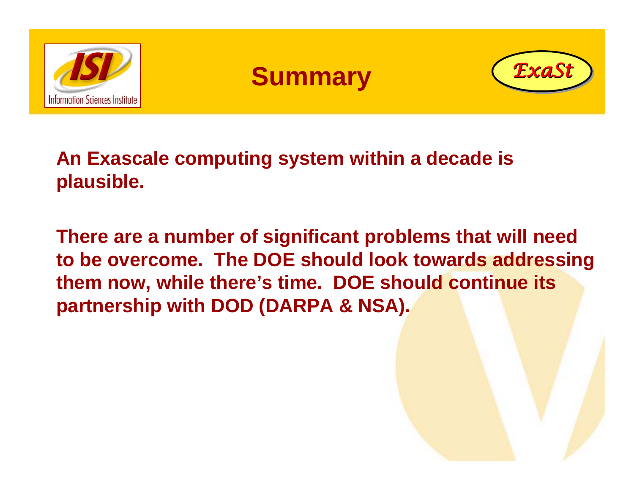

#### **Summary**



**An Exascale computing system within a decade is plausible.**

**There are a number of significant problems that will need to be overcome. The DOE should look towards addressing them now, while there's time. DOE should continue its partnership with DOD (DARPA & NSA).**